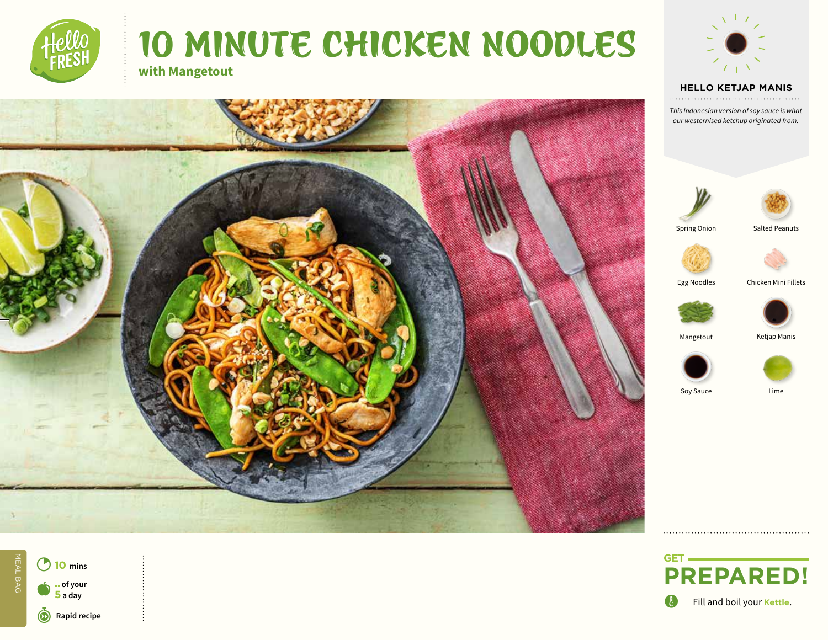# 10 MINUTE CHICKEN NOODLES **with Mangetout**



#### **HELLO TEXT HELLO KETJAP MANIS**

*This Indonesian version of soy sauce is what our westernised ketchup originated from.*





Spring Onion







Egg Noodles Chicken Mini Fillets





Mangetout Ketjap Manis







O Fill and boil your **Kettle**.